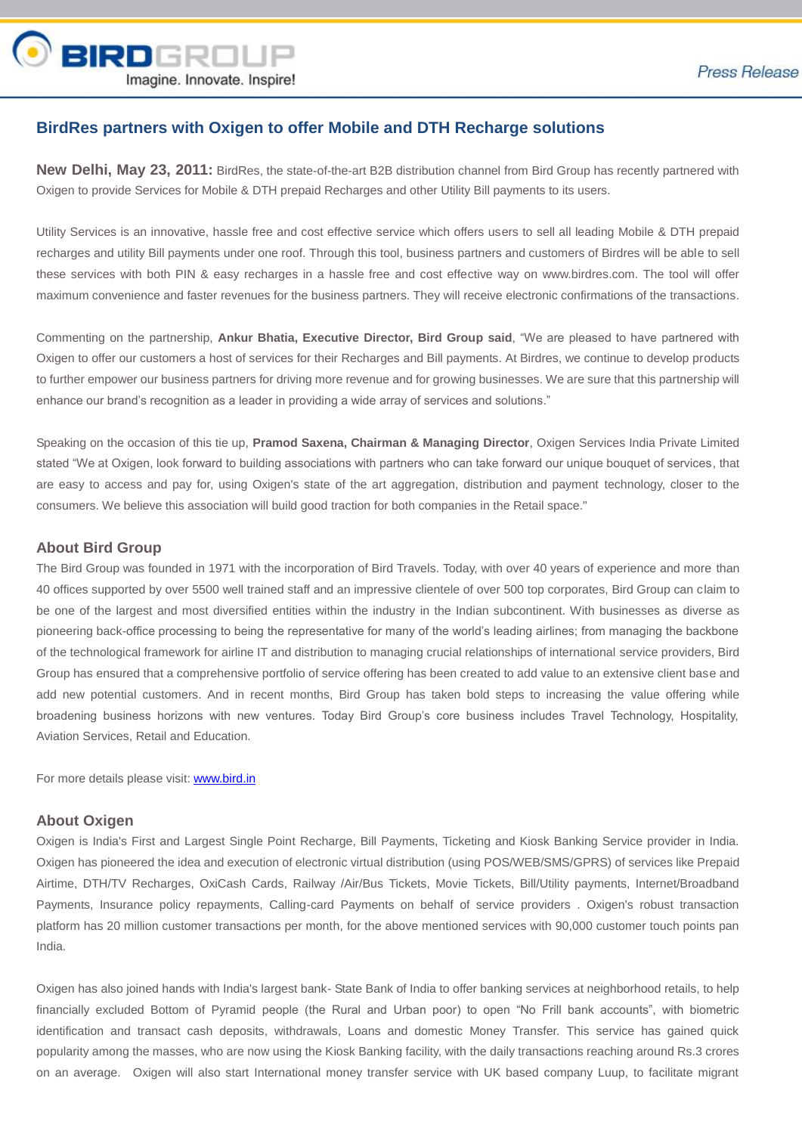

# **BirdRes partners with Oxigen to offer Mobile and DTH Recharge solutions**

**New Delhi, May 23, 2011:** BirdRes, the state-of-the-art B2B distribution channel from Bird Group has recently partnered with Oxigen to provide Services for Mobile & DTH prepaid Recharges and other Utility Bill payments to its users.

Utility Services is an innovative, hassle free and cost effective service which offers users to sell all leading Mobile & DTH prepaid recharges and utility Bill payments under one roof. Through this tool, business partners and customers of Birdres will be able to sell these services with both PIN & easy recharges in a hassle free and cost effective way on www.birdres.com. The tool will offer maximum convenience and faster revenues for the business partners. They will receive electronic confirmations of the transactions.

Commenting on the partnership, **Ankur Bhatia, Executive Director, Bird Group said**, "We are pleased to have partnered with Oxigen to offer our customers a host of services for their Recharges and Bill payments. At Birdres, we continue to develop products to further empower our business partners for driving more revenue and for growing businesses. We are sure that this partnership will enhance our brand's recognition as a leader in providing a wide array of services and solutions."

Speaking on the occasion of this tie up, **Pramod Saxena, Chairman & Managing Director**, Oxigen Services India Private Limited stated "We at Oxigen, look forward to building associations with partners who can take forward our unique bouquet of services, that are easy to access and pay for, using Oxigen's state of the art aggregation, distribution and payment technology, closer to the consumers. We believe this association will build good traction for both companies in the Retail space."

#### **About Bird Group**

The Bird Group was founded in 1971 with the incorporation of Bird Travels. Today, with over 40 years of experience and more than 40 offices supported by over 5500 well trained staff and an impressive clientele of over 500 top corporates, Bird Group can claim to be one of the largest and most diversified entities within the industry in the Indian subcontinent. With businesses as diverse as pioneering back-office processing to being the representative for many of the world's leading airlines; from managing the backbone of the technological framework for airline IT and distribution to managing crucial relationships of international service providers, Bird Group has ensured that a comprehensive portfolio of service offering has been created to add value to an extensive client base and add new potential customers. And in recent months, Bird Group has taken bold steps to increasing the value offering while broadening business horizons with new ventures. Today Bird Group's core business includes Travel Technology, Hospitality, Aviation Services, Retail and Education.

For more details please visit: [www.bird.in](http://www.bird.in/)

#### **About Oxigen**

Oxigen is India's First and Largest Single Point Recharge, Bill Payments, Ticketing and Kiosk Banking Service provider in India. Oxigen has pioneered the idea and execution of electronic virtual distribution (using POS/WEB/SMS/GPRS) of services like Prepaid Airtime, DTH/TV Recharges, OxiCash Cards, Railway /Air/Bus Tickets, Movie Tickets, Bill/Utility payments, Internet/Broadband Payments, Insurance policy repayments, Calling-card Payments on behalf of service providers . Oxigen's robust transaction platform has 20 million customer transactions per month, for the above mentioned services with 90,000 customer touch points pan India.

Oxigen has also joined hands with India's largest bank- State Bank of India to offer banking services at neighborhood retails, to help financially excluded Bottom of Pyramid people (the Rural and Urban poor) to open "No Frill bank accounts", with biometric identification and transact cash deposits, withdrawals, Loans and domestic Money Transfer. This service has gained quick popularity among the masses, who are now using the Kiosk Banking facility, with the daily transactions reaching around Rs.3 crores on an average. Oxigen will also start International money transfer service with UK based company Luup, to facilitate migrant